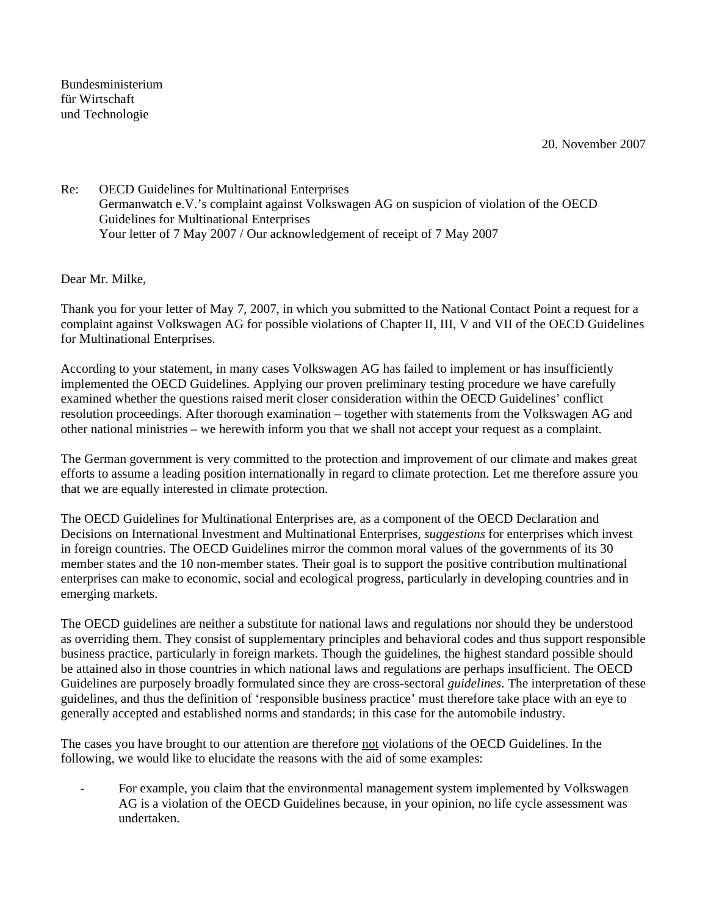Bundesministerium für Wirtschaft und Technologie

20. November 2007

Re: OECD Guidelines for Multinational Enterprises Germanwatch e.V.'s complaint against Volkswagen AG on suspicion of violation of the OECD Guidelines for Multinational Enterprises Your letter of 7 May 2007 / Our acknowledgement of receipt of 7 May 2007

Dear Mr. Milke,

Thank you for your letter of May 7, 2007, in which you submitted to the National Contact Point a request for a complaint against Volkswagen AG for possible violations of Chapter II, III, V and VII of the OECD Guidelines for Multinational Enterprises.

According to your statement, in many cases Volkswagen AG has failed to implement or has insufficiently implemented the OECD Guidelines. Applying our proven preliminary testing procedure we have carefully examined whether the questions raised merit closer consideration within the OECD Guidelines' conflict resolution proceedings. After thorough examination – together with statements from the Volkswagen AG and other national ministries – we herewith inform you that we shall not accept your request as a complaint.

The German government is very committed to the protection and improvement of our climate and makes great efforts to assume a leading position internationally in regard to climate protection. Let me therefore assure you that we are equally interested in climate protection.

The OECD Guidelines for Multinational Enterprises are, as a component of the OECD Declaration and Decisions on International Investment and Multinational Enterprises, *suggestions* for enterprises which invest in foreign countries. The OECD Guidelines mirror the common moral values of the governments of its 30 member states and the 10 non-member states. Their goal is to support the positive contribution multinational enterprises can make to economic, social and ecological progress, particularly in developing countries and in emerging markets.

The OECD guidelines are neither a substitute for national laws and regulations nor should they be understood as overriding them. They consist of supplementary principles and behavioral codes and thus support responsible business practice, particularly in foreign markets. Though the guidelines, the highest standard possible should be attained also in those countries in which national laws and regulations are perhaps insufficient. The OECD Guidelines are purposely broadly formulated since they are cross-sectoral *guidelines*. The interpretation of these guidelines, and thus the definition of 'responsible business practice' must therefore take place with an eye to generally accepted and established norms and standards; in this case for the automobile industry.

The cases you have brought to our attention are therefore not violations of the OECD Guidelines. In the following, we would like to elucidate the reasons with the aid of some examples:

For example, you claim that the environmental management system implemented by Volkswagen AG is a violation of the OECD Guidelines because, in your opinion, no life cycle assessment was undertaken.